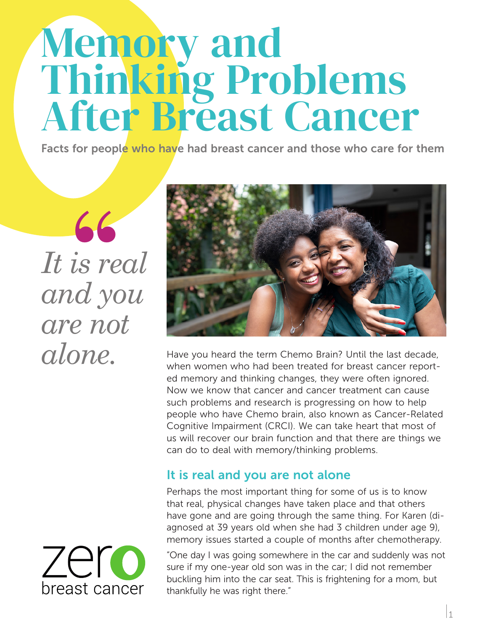# Memory and Thinking Problems After Breast Cancer

Facts for people who have had breast cancer and those who care for them

*It is real and you are not alone.*

**"**



Have you heard the term Chemo Brain? Until the last decade, when women who had been treated for breast cancer reported memory and thinking changes, they were often ignored. Now we know that cancer and cancer treatment can cause such problems and research is progressing on how to help people who have Chemo brain, also known as Cancer-Related Cognitive Impairment (CRCI). We can take heart that most of us will recover our brain function and that there are things we can do to deal with memory/thinking problems.

## It is real and you are not alone

Perhaps the most important thing for some of us is to know that real, physical changes have taken place and that others have gone and are going through the same thing. For Karen (diagnosed at 39 years old when she had 3 children under age 9), memory issues started a couple of months after chemotherapy.

"One day I was going somewhere in the car and suddenly was not sure if my one-year old son was in the car; I did not remember buckling him into the car seat. This is frightening for a mom, but thankfully he was right there."

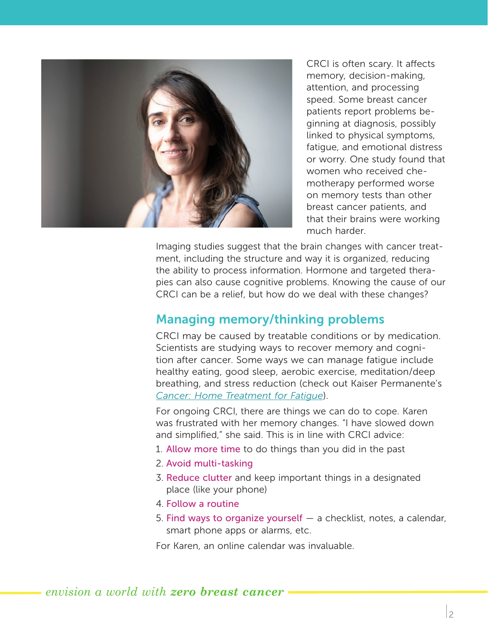

CRCI is often scary. It affects memory, decision-making, attention, and processing speed. Some breast cancer patients report problems beginning at diagnosis, possibly linked to physical symptoms, fatigue, and emotional distress or worry. One study found that women who received chemotherapy performed worse on memory tests than other breast cancer patients, and that their brains were working much harder.

Imaging studies suggest that the brain changes with cancer treatment, including the structure and way it is organized, reducing the ability to process information. Hormone and targeted therapies can also cause cognitive problems. Knowing the cause of our CRCI can be a relief, but how do we deal with these changes?

#### Managing memory/thinking problems

CRCI may be caused by treatable conditions or by medication. Scientists are studying ways to recover memory and cognition after cancer. Some ways we can manage fatigue include healthy eating, good sleep, aerobic exercise, meditation/deep breathing, and stress reduction (check out Kaiser Permanente's *Cancer: Home Treatment for Fatigue*).

For ongoing CRCI, there are things we can do to cope. Karen was frustrated with her memory changes. "I have slowed down and simplified," she said. This is in line with CRCI advice:

- 1. Allow more time to do things than you did in the past
- 2. Avoid multi-tasking
- 3. Reduce clutter and keep important things in a designated place (like your phone)
- 4. Follow a routine
- 5. Find ways to organize yourself a checklist, notes, a calendar, smart phone apps or alarms, etc.

For Karen, an online calendar was invaluable.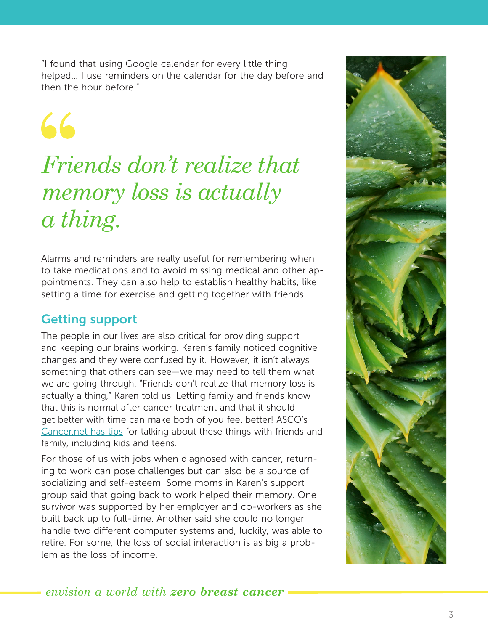"I found that using Google calendar for every little thing helped… I use reminders on the calendar for the day before and then the hour before."

66

# *Friends don't realize that memory loss is actually a thing.*

Alarms and reminders are really useful for remembering when to take medications and to avoid missing medical and other appointments. They can also help to establish healthy habits, like setting a time for exercise and getting together with friends.

# Getting support

The people in our lives are also critical for providing support and keeping our brains working. Karen's family noticed cognitive changes and they were confused by it. However, it isn't always something that others can see—we may need to tell them what we are going through. "Friends don't realize that memory loss is actually a thing," Karen told us. Letting family and friends know that this is normal after cancer treatment and that it should get better with time can make both of you feel better! ASCO's Cancer.net has tips for talking about these things with friends and family, including kids and teens.

For those of us with jobs when diagnosed with cancer, returning to work can pose challenges but can also be a source of socializing and self-esteem. Some moms in Karen's support group said that going back to work helped their memory. One survivor was supported by her employer and co-workers as she built back up to full-time. Another said she could no longer handle two different computer systems and, luckily, was able to retire. For some, the loss of social interaction is as big a problem as the loss of income.